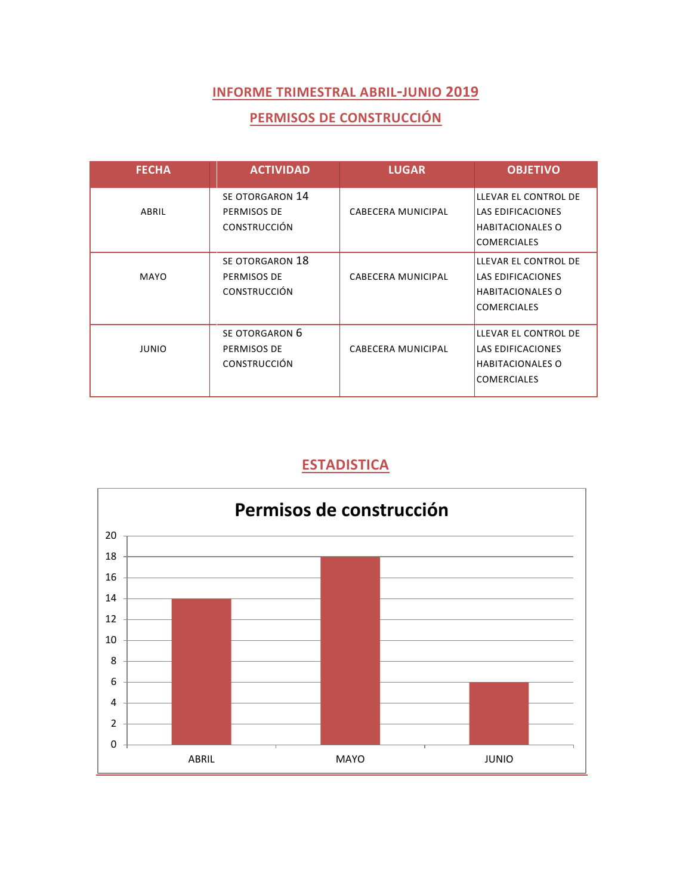### **PERMISOS DE CONSTRUCCIÓN**

| <b>FECHA</b> | <b>ACTIVIDAD</b>                                      | <b>LUGAR</b>              | <b>OBJETIVO</b>                                                                                   |
|--------------|-------------------------------------------------------|---------------------------|---------------------------------------------------------------------------------------------------|
| ABRIL        | SE OTORGARON 14<br>PERMISOS DE<br><b>CONSTRUCCIÓN</b> | CABECERA MUNICIPAL        | LLEVAR EL CONTROL DE<br>LAS EDIFICACIONES<br><b>HABITACIONALES O</b><br><b>COMERCIALES</b>        |
| <b>MAYO</b>  | SE OTORGARON 18<br>PERMISOS DE<br><b>CONSTRUCCIÓN</b> | CABECERA MUNICIPAL        | LLEVAR EL CONTROL DE<br><b>LAS EDIFICACIONES</b><br><b>HABITACIONALES O</b><br><b>COMERCIALES</b> |
| <b>JUNIO</b> | SE OTORGARON 6<br>PERMISOS DE<br><b>CONSTRUCCIÓN</b>  | <b>CABECERA MUNICIPAL</b> | LLEVAR EL CONTROL DE<br><b>LAS EDIFICACIONES</b><br><b>HABITACIONALES O</b><br><b>COMERCIALES</b> |

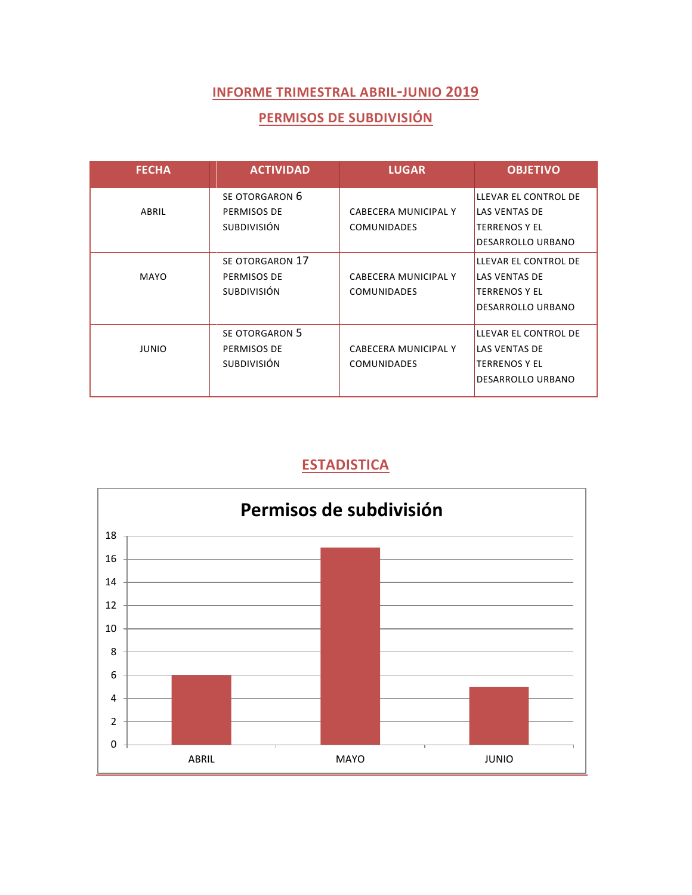#### **PERMISOS DE SUBDIVISIÓN**

| <b>FECHA</b> | <b>ACTIVIDAD</b>                                    | <b>LUGAR</b>                               | <b>OBJETIVO</b>                                                                           |
|--------------|-----------------------------------------------------|--------------------------------------------|-------------------------------------------------------------------------------------------|
| ABRIL        | SE OTORGARON 6<br>PERMISOS DE<br><b>SUBDIVISIÓN</b> | CABECERA MUNICIPAL Y<br><b>COMUNIDADES</b> | LLEVAR EL CONTROL DE<br><b>LAS VENTAS DE</b><br><b>TERRENOS Y EL</b><br>DESARROLLO URBANO |
| <b>MAYO</b>  | SE OTORGARON 17<br>PERMISOS DE<br>SUBDIVISIÓN       | CABECERA MUNICIPAL Y<br><b>COMUNIDADES</b> | LLEVAR EL CONTROL DE<br>LAS VENTAS DE<br><b>TERRENOS Y EL</b><br>DESARROLLO URBANO        |
| <b>JUNIO</b> | SE OTORGARON 5<br>PERMISOS DE<br><b>SUBDIVISIÓN</b> | CABECERA MUNICIPAL Y<br><b>COMUNIDADES</b> | LLEVAR EL CONTROL DE<br><b>LAS VENTAS DE</b><br><b>TERRENOS Y EL</b><br>DESARROLLO URBANO |

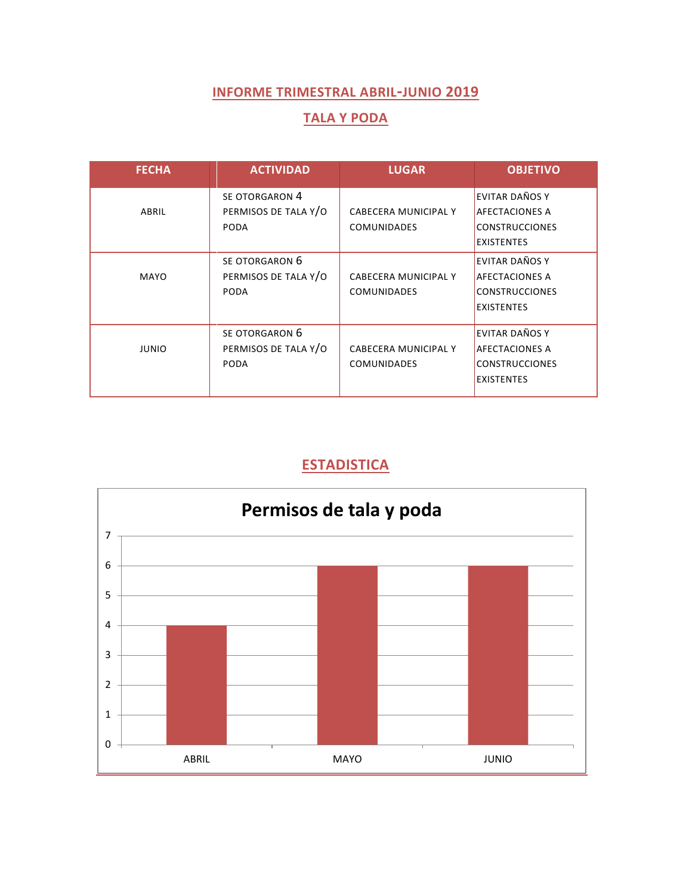#### **TALA Y PODA**

| <b>FECHA</b> | <b>ACTIVIDAD</b>                                      | <b>LUGAR</b>                               | <b>OBJETIVO</b>                                                                              |
|--------------|-------------------------------------------------------|--------------------------------------------|----------------------------------------------------------------------------------------------|
| ABRIL        | SE OTORGARON 4<br>PERMISOS DE TALA Y/O<br><b>PODA</b> | CABECERA MUNICIPAL Y<br><b>COMUNIDADES</b> | <b>EVITAR DAÑOS Y</b><br><b>AFECTACIONES A</b><br><b>CONSTRUCCIONES</b><br><b>EXISTENTES</b> |
| <b>MAYO</b>  | SE OTORGARON 6<br>PERMISOS DE TALA Y/O<br>PODA        | CABECERA MUNICIPAL Y<br><b>COMUNIDADES</b> | EVITAR DAÑOS Y<br><b>AFECTACIONES A</b><br><b>CONSTRUCCIONES</b><br><b>EXISTENTES</b>        |
| <b>JUNIO</b> | SE OTORGARON 6<br>PERMISOS DE TALA Y/O<br><b>PODA</b> | CABECERA MUNICIPAL Y<br><b>COMUNIDADES</b> | EVITAR DAÑOS Y<br><b>AFECTACIONES A</b><br><b>CONSTRUCCIONES</b><br><b>EXISTENTES</b>        |

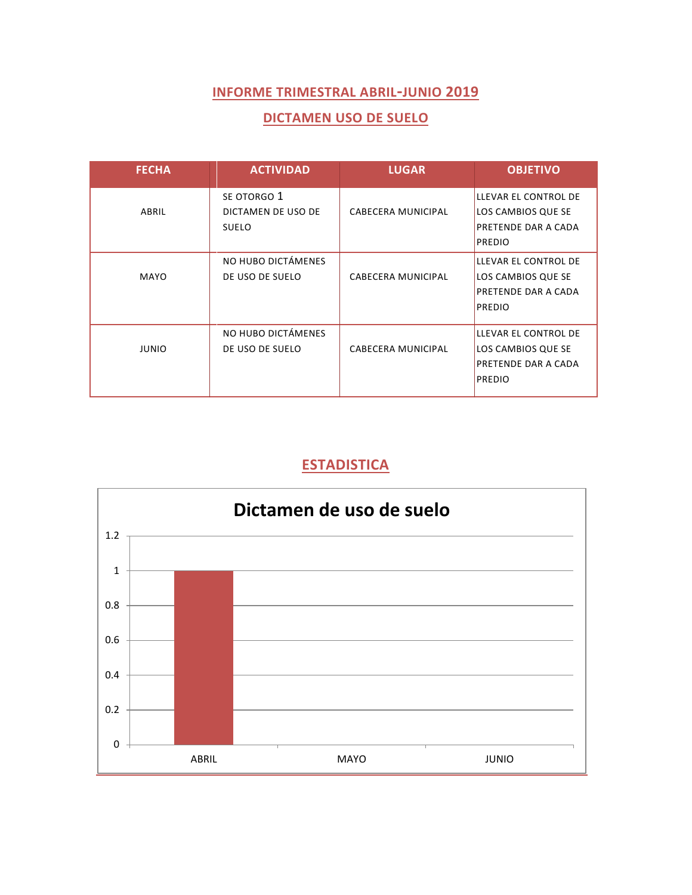#### **DICTAMEN USO DE SUELO**

| <b>FECHA</b> | <b>ACTIVIDAD</b>                                  | <b>LUGAR</b>              | <b>OBJETIVO</b>                                                                           |
|--------------|---------------------------------------------------|---------------------------|-------------------------------------------------------------------------------------------|
| ABRIL        | SE OTORGO 1<br>DICTAMEN DE USO DE<br><b>SUELO</b> | CABECERA MUNICIPAL        | LLEVAR EL CONTROL DE<br>LOS CAMBIOS QUE SE<br><b>PRETENDE DAR A CADA</b><br><b>PREDIO</b> |
| MAYO         | NO HUBO DICTÁMENES<br>DE USO DE SUELO             | CABECERA MUNICIPAL        | LLEVAR EL CONTROL DE<br>LOS CAMBIOS QUE SE<br>PRETENDE DAR A CADA<br><b>PREDIO</b>        |
| <b>JUNIO</b> | NO HUBO DICTÁMENES<br>DE USO DE SUELO             | <b>CABECERA MUNICIPAL</b> | LLEVAR EL CONTROL DE<br>LOS CAMBIOS QUE SE<br>PRETENDE DAR A CADA<br><b>PREDIO</b>        |

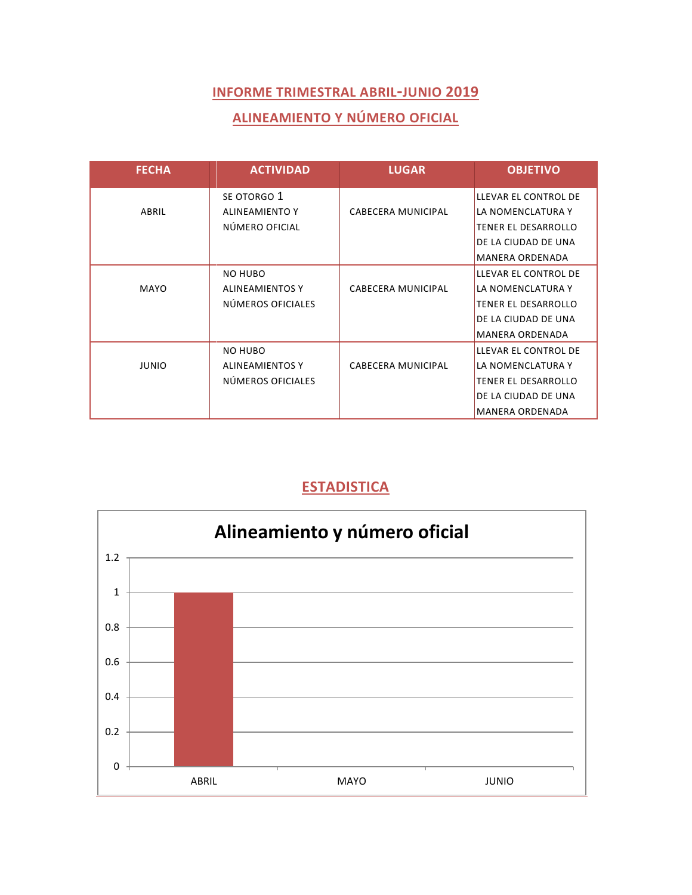## **ALINEAMIENTO Y NÚMERO OFICIAL**

| <b>FECHA</b> | <b>ACTIVIDAD</b>       | <b>LUGAR</b>              | <b>OBJETIVO</b>            |
|--------------|------------------------|---------------------------|----------------------------|
|              | SE OTORGO 1            |                           | LLEVAR EL CONTROL DE       |
| ABRIL        | <b>ALINEAMIENTO Y</b>  | CABECERA MUNICIPAL        | LA NOMENCLATURA Y          |
|              | NÚMERO OFICIAL         |                           | <b>TENER EL DESARROLLO</b> |
|              |                        |                           | DE LA CIUDAD DE UNA        |
|              |                        |                           | <b>MANERA ORDENADA</b>     |
|              | NO HUBO                |                           | LLEVAR EL CONTROL DE       |
| MAYO         | <b>ALINEAMIENTOS Y</b> | CABECERA MUNICIPAL        | LA NOMENCLATURA Y          |
|              | NÚMEROS OFICIALES      |                           | <b>TENER EL DESARROLLO</b> |
|              |                        |                           | DE LA CIUDAD DE UNA        |
|              |                        |                           | <b>MANERA ORDENADA</b>     |
|              | NO HUBO                |                           | LLEVAR EL CONTROL DE       |
| <b>JUNIO</b> | <b>ALINEAMIENTOS Y</b> | <b>CABECERA MUNICIPAL</b> | LA NOMENCLATURA Y          |
|              | NÚMEROS OFICIALES      |                           | TENER EL DESARROLLO        |
|              |                        |                           | DE LA CIUDAD DE UNA        |
|              |                        |                           | <b>MANERA ORDENADA</b>     |

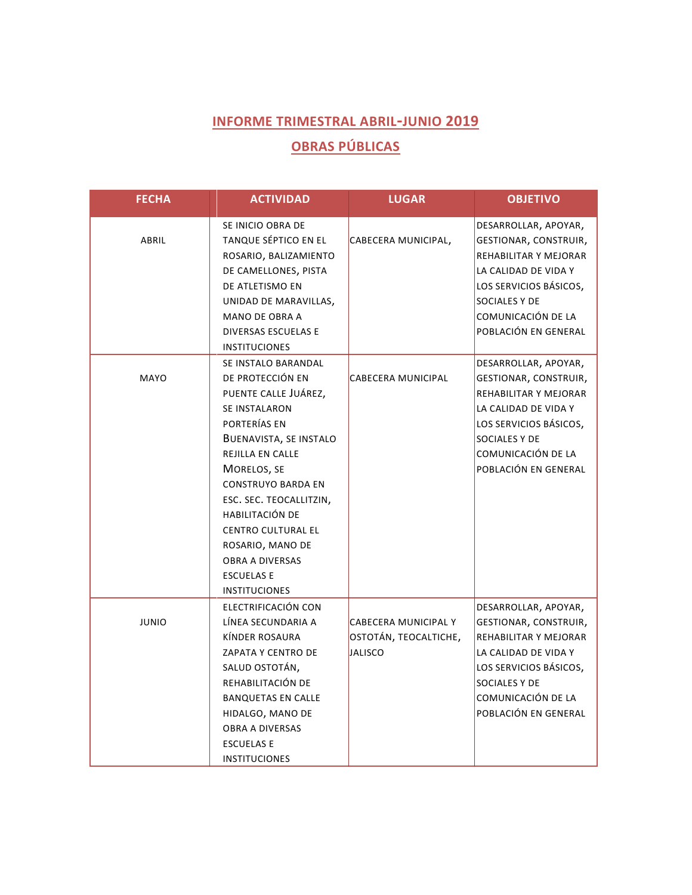# **OBRAS PÚBLICAS**

| <b>FECHA</b> | <b>ACTIVIDAD</b>                                                                                                                                                                                                                                                                                                                                                                      | <b>LUGAR</b>                                                    | <b>OBJETIVO</b>                                                                                                                                                                                |
|--------------|---------------------------------------------------------------------------------------------------------------------------------------------------------------------------------------------------------------------------------------------------------------------------------------------------------------------------------------------------------------------------------------|-----------------------------------------------------------------|------------------------------------------------------------------------------------------------------------------------------------------------------------------------------------------------|
| ABRIL        | SE INICIO OBRA DE<br>TANQUE SÉPTICO EN EL<br>ROSARIO, BALIZAMIENTO<br>DE CAMELLONES, PISTA<br>DE ATLETISMO EN<br>UNIDAD DE MARAVILLAS,<br><b>MANO DE OBRA A</b><br><b>DIVERSAS ESCUELAS E</b><br><b>INSTITUCIONES</b>                                                                                                                                                                 | CABECERA MUNICIPAL,                                             | DESARROLLAR, APOYAR,<br>GESTIONAR, CONSTRUIR,<br>REHABILITAR Y MEJORAR<br>LA CALIDAD DE VIDA Y<br>LOS SERVICIOS BÁSICOS,<br>SOCIALES Y DE<br>COMUNICACIÓN DE LA<br>POBLACIÓN EN GENERAL        |
| MAYO         | SE INSTALO BARANDAL<br>DE PROTECCIÓN EN<br>PUENTE CALLE JUÁREZ,<br><b>SE INSTALARON</b><br>PORTERÍAS EN<br>BUENAVISTA, SE INSTALO<br><b>REJILLA EN CALLE</b><br>MORELOS, SE<br><b>CONSTRUYO BARDA EN</b><br>ESC. SEC. TEOCALLITZIN,<br><b>HABILITACIÓN DE</b><br><b>CENTRO CULTURAL EL</b><br>ROSARIO, MANO DE<br><b>OBRA A DIVERSAS</b><br><b>ESCUELAS E</b><br><b>INSTITUCIONES</b> | CABECERA MUNICIPAL                                              | DESARROLLAR, APOYAR,<br>GESTIONAR, CONSTRUIR,<br>REHABILITAR Y MEJORAR<br>LA CALIDAD DE VIDA Y<br>LOS SERVICIOS BÁSICOS,<br>SOCIALES Y DE<br>COMUNICACIÓN DE LA<br>POBLACIÓN EN GENERAL        |
| <b>JUNIO</b> | ELECTRIFICACIÓN CON<br>LÍNEA SECUNDARIA A<br>KÍNDER ROSAURA<br>ZAPATA Y CENTRO DE<br>SALUD OSTOTÁN,<br>REHABILITACIÓN DE<br><b>BANQUETAS EN CALLE</b><br>HIDALGO, MANO DE<br><b>OBRA A DIVERSAS</b><br><b>ESCUELAS E</b><br><b>INSTITUCIONES</b>                                                                                                                                      | CABECERA MUNICIPAL Y<br>OSTOTÁN, TEOCALTICHE,<br><b>JALISCO</b> | DESARROLLAR, APOYAR,<br>GESTIONAR, CONSTRUIR,<br><b>REHABILITAR Y MEJORAR</b><br>LA CALIDAD DE VIDA Y<br>LOS SERVICIOS BÁSICOS,<br>SOCIALES Y DE<br>COMUNICACIÓN DE LA<br>POBLACIÓN EN GENERAL |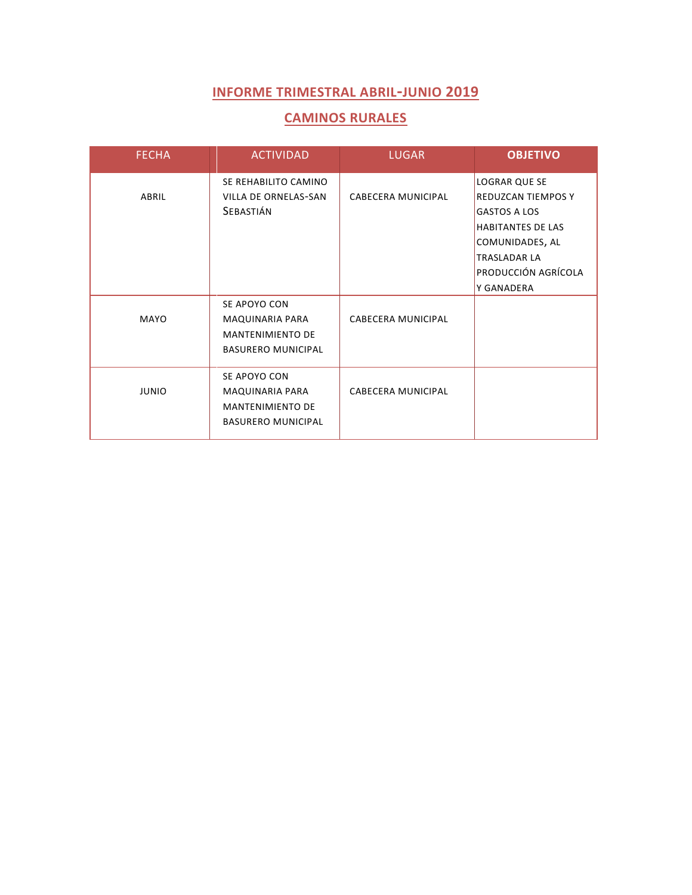#### **CAMINOS RURALES**

| <b>FECHA</b> | <b>ACTIVIDAD</b>                                                                        | <b>LUGAR</b>       | <b>OBJETIVO</b>                                                                                                                                                              |
|--------------|-----------------------------------------------------------------------------------------|--------------------|------------------------------------------------------------------------------------------------------------------------------------------------------------------------------|
| ABRIL        | SE REHABILITO CAMINO<br>VILLA DE ORNELAS-SAN<br>SEBASTIÁN                               | CABECERA MUNICIPAL | LOGRAR QUE SE<br><b>REDUZCAN TIEMPOS Y</b><br><b>GASTOS A LOS</b><br><b>HABITANTES DE LAS</b><br>COMUNIDADES, AL<br><b>TRASLADAR LA</b><br>PRODUCCIÓN AGRÍCOLA<br>Y GANADERA |
| MAYO         | SE APOYO CON<br>MAQUINARIA PARA<br><b>MANTENIMIENTO DE</b><br><b>BASURERO MUNICIPAL</b> | CABECERA MUNICIPAL |                                                                                                                                                                              |
| <b>JUNIO</b> | SE APOYO CON<br>MAQUINARIA PARA<br><b>MANTENIMIENTO DE</b><br><b>BASURERO MUNICIPAL</b> | CABECERA MUNICIPAL |                                                                                                                                                                              |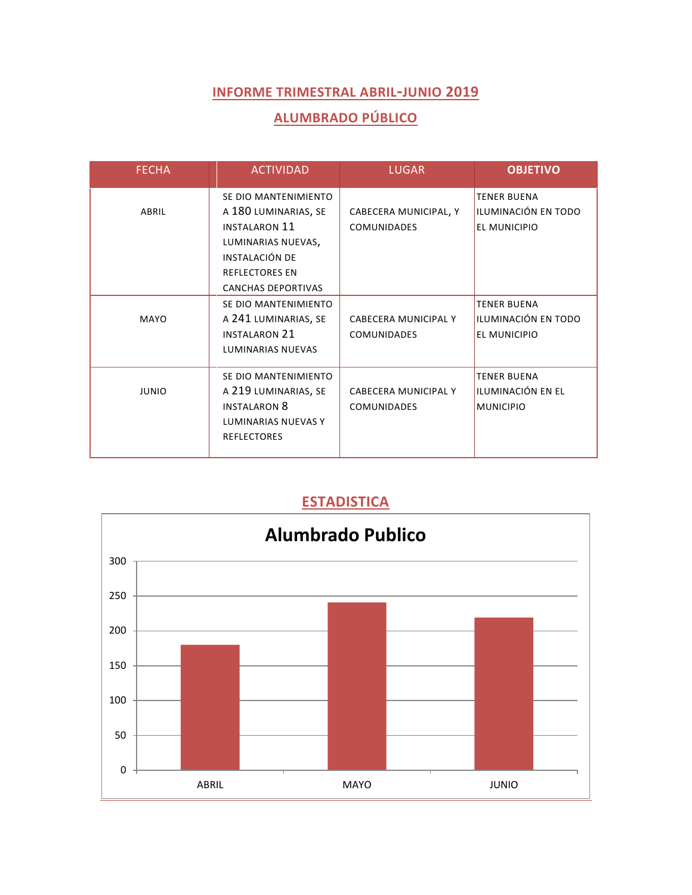## **ALUMBRADO PÚBLICO**

| <b>FECHA</b> | <b>ACTIVIDAD</b>                                                                                                                                                   | <b>LUGAR</b>                                | <b>OBJETIVO</b>                                                  |
|--------------|--------------------------------------------------------------------------------------------------------------------------------------------------------------------|---------------------------------------------|------------------------------------------------------------------|
| ABRIL        | SE DIO MANTENIMIENTO<br>A 180 LUMINARIAS, SE<br><b>INSTALARON 11</b><br>LUMINARIAS NUEVAS,<br>INSTALACIÓN DE<br><b>REFLECTORES EN</b><br><b>CANCHAS DEPORTIVAS</b> | CABECERA MUNICIPAL, Y<br><b>COMUNIDADES</b> | <b>TENER BUENA</b><br>ILUMINACIÓN EN TODO<br><b>EL MUNICIPIO</b> |
| MAYO         | SE DIO MANTENIMIENTO<br>A 241 LUMINARIAS, SE<br><b>INSTALARON 21</b><br><b>LUMINARIAS NUEVAS</b>                                                                   | CABECERA MUNICIPAL Y<br><b>COMUNIDADES</b>  | <b>TENER BUENA</b><br>ILUMINACIÓN EN TODO<br>EL MUNICIPIO        |
| <b>JUNIO</b> | SE DIO MANTENIMIENTO<br>A 219 LUMINARIAS, SE<br><b>INSTALARON 8</b><br><b>LUMINARIAS NUEVAS Y</b><br><b>REFLECTORES</b>                                            | CABECERA MUNICIPAL Y<br><b>COMUNIDADES</b>  | <b>TENER BUENA</b><br>ILUMINACIÓN EN EL<br><b>MUNICIPIO</b>      |

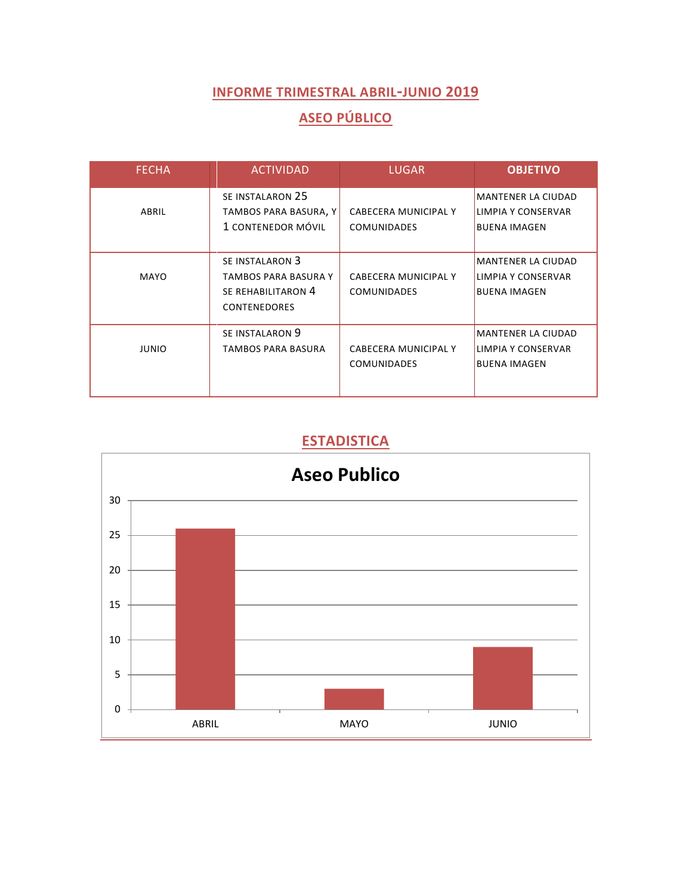# **ASEO PÚBLICO**

| <b>FECHA</b> | <b>ACTIVIDAD</b>                                                                     | <b>LUGAR</b>                                      | <b>OBJETIVO</b>                                                        |
|--------------|--------------------------------------------------------------------------------------|---------------------------------------------------|------------------------------------------------------------------------|
| ABRIL        | SE INSTALARON 25<br>TAMBOS PARA BASURA, Y<br>1 CONTENEDOR MÓVIL                      | CABECERA MUNICIPAL Y<br><b>COMUNIDADES</b>        | <b>MANTENER LA CIUDAD</b><br>LIMPIA Y CONSERVAR<br><b>BUENA IMAGEN</b> |
| MAYO         | SE INSTALARON 3<br>TAMBOS PARA BASURA Y<br>SE REHABILITARON 4<br><b>CONTENEDORES</b> | CABECERA MUNICIPAL Y<br><b>COMUNIDADES</b>        | <b>MANTENER LA CIUDAD</b><br>LIMPIA Y CONSERVAR<br><b>BUENA IMAGEN</b> |
| <b>JUNIO</b> | SE INSTALARON 9<br>TAMBOS PARA BASURA                                                | <b>CABECERA MUNICIPAL Y</b><br><b>COMUNIDADES</b> | <b>MANTENER LA CIUDAD</b><br>LIMPIA Y CONSERVAR<br><b>BUENA IMAGEN</b> |

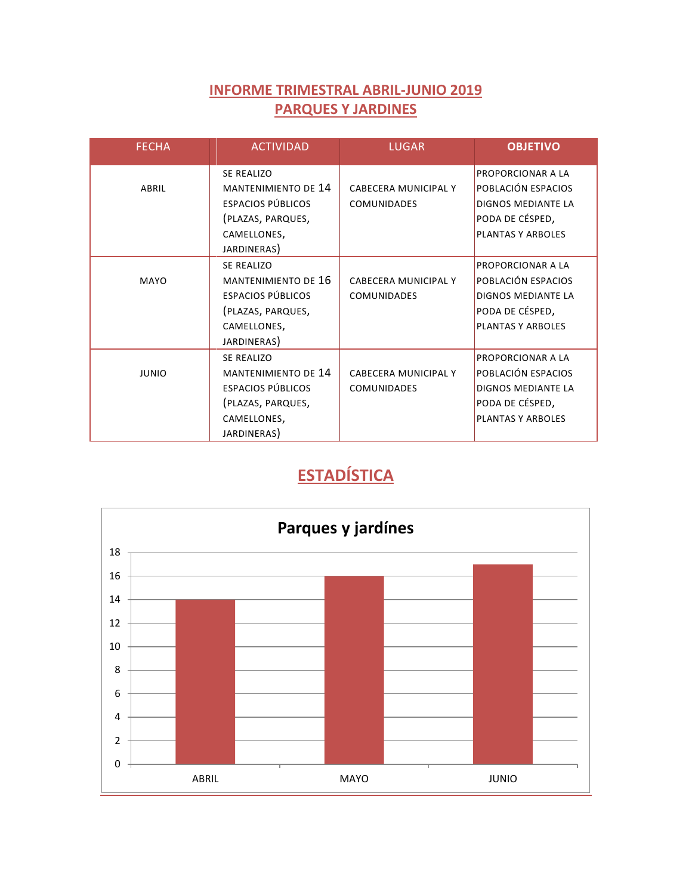## **INFORME TRIMESTRAL ABRIL-JUNIO 2019 PARQUES Y JARDINES**

| <b>FECHA</b> | <b>ACTIVIDAD</b>           | <b>LUGAR</b>         | <b>OBJETIVO</b>           |
|--------------|----------------------------|----------------------|---------------------------|
|              | <b>SE REALIZO</b>          |                      | <b>PROPORCIONAR A LA</b>  |
| ABRIL        | <b>MANTENIMIENTO DE 14</b> | CABECERA MUNICIPAL Y | POBLACIÓN ESPACIOS        |
|              | ESPACIOS PÚBLICOS          | <b>COMUNIDADES</b>   | <b>DIGNOS MEDIANTE LA</b> |
|              | (PLAZAS, PARQUES,          |                      | PODA DE CÉSPED,           |
|              | CAMELLONES,                |                      | <b>PLANTAS Y ARBOLES</b>  |
|              | JARDINERAS)                |                      |                           |
|              | <b>SE REALIZO</b>          |                      | <b>PROPORCIONAR A LA</b>  |
| MAYO         | MANTENIMIENTO DE 16        | CABECERA MUNICIPAL Y | POBLACIÓN ESPACIOS        |
|              | <b>ESPACIOS PÚBLICOS</b>   | <b>COMUNIDADES</b>   | <b>DIGNOS MEDIANTE LA</b> |
|              | (PLAZAS, PARQUES,          |                      | PODA DE CÉSPED,           |
|              | CAMELLONES,                |                      | <b>PLANTAS Y ARBOLES</b>  |
|              | JARDINERAS)                |                      |                           |
|              | <b>SE REALIZO</b>          |                      | PROPORCIONAR A LA         |
| <b>JUNIO</b> | <b>MANTENIMIENTO DE 14</b> | CABECERA MUNICIPAL Y | POBLACIÓN ESPACIOS        |
|              | <b>ESPACIOS PÚBLICOS</b>   | <b>COMUNIDADES</b>   | <b>DIGNOS MEDIANTE LA</b> |
|              | (PLAZAS, PARQUES,          |                      | PODA DE CÉSPED,           |
|              | CAMELLONES,                |                      | <b>PLANTAS Y ARBOLES</b>  |
|              | JARDINERAS)                |                      |                           |

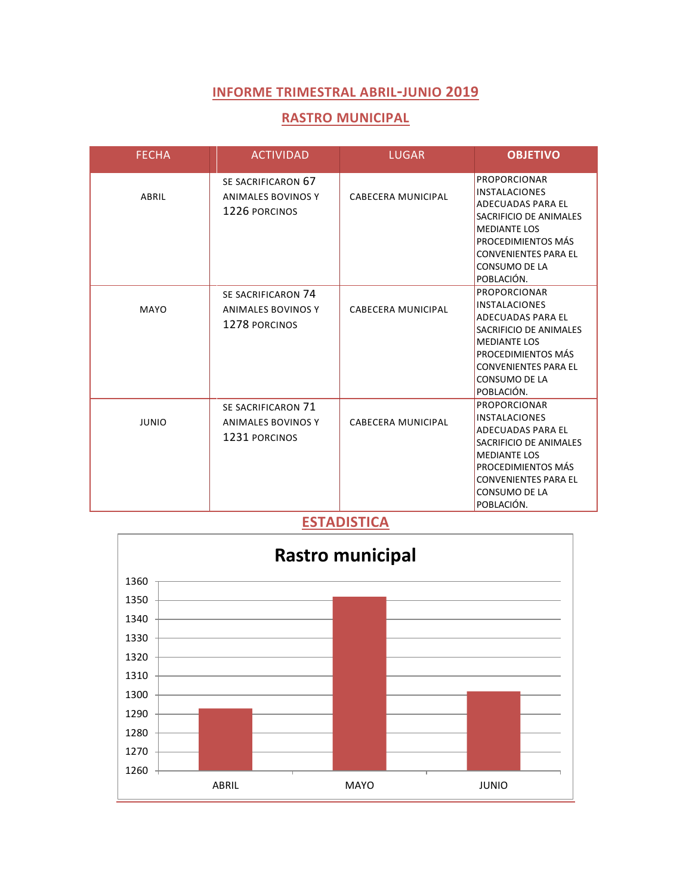#### **RASTRO MUNICIPAL**

| <b>FECHA</b> | <b>ACTIVIDAD</b>                                          | <b>LUGAR</b>              | <b>OBJETIVO</b>                                                                                                                                                                                       |
|--------------|-----------------------------------------------------------|---------------------------|-------------------------------------------------------------------------------------------------------------------------------------------------------------------------------------------------------|
| ABRIL        | SE SACRIFICARON 67<br>ANIMALES BOVINOS Y<br>1226 PORCINOS | CABECERA MUNICIPAL        | <b>PROPORCIONAR</b><br><b>INSTALACIONES</b><br>ADECUADAS PARA EL<br>SACRIFICIO DE ANIMALES<br><b>MEDIANTE LOS</b><br>PROCEDIMIENTOS MÁS<br><b>CONVENIENTES PARA EL</b><br>CONSUMO DE LA<br>POBLACIÓN. |
| MAYO         | SE SACRIFICARON 74<br>ANIMALES BOVINOS Y<br>1278 PORCINOS | <b>CABECERA MUNICIPAL</b> | <b>PROPORCIONAR</b><br><b>INSTALACIONES</b><br>ADECUADAS PARA EL<br>SACRIFICIO DE ANIMALES<br><b>MEDIANTE LOS</b><br>PROCEDIMIENTOS MÁS<br><b>CONVENIENTES PARA EL</b><br>CONSUMO DE LA<br>POBLACIÓN. |
| <b>JUNIO</b> | SE SACRIFICARON 71<br>ANIMALES BOVINOS Y<br>1231 PORCINOS | CABECERA MUNICIPAL        | <b>PROPORCIONAR</b><br><b>INSTALACIONES</b><br>ADECUADAS PARA EL<br>SACRIFICIO DE ANIMALES<br><b>MEDIANTE LOS</b><br>PROCEDIMIENTOS MÁS<br><b>CONVENIENTES PARA EL</b><br>CONSUMO DE LA<br>POBLACIÓN. |